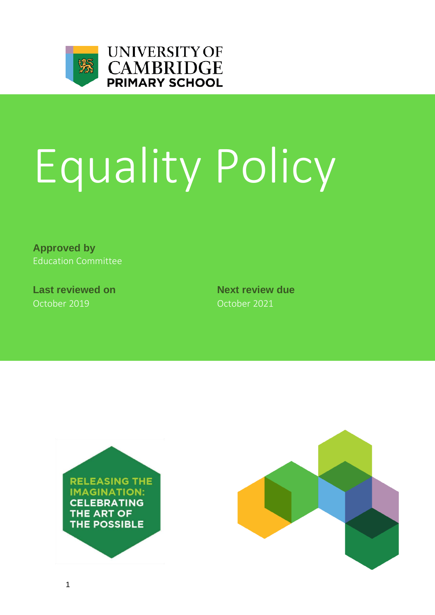

# Equality Policy

**Approved by** Education Committee

**Last reviewed on Next review due** October 2019 October 2021



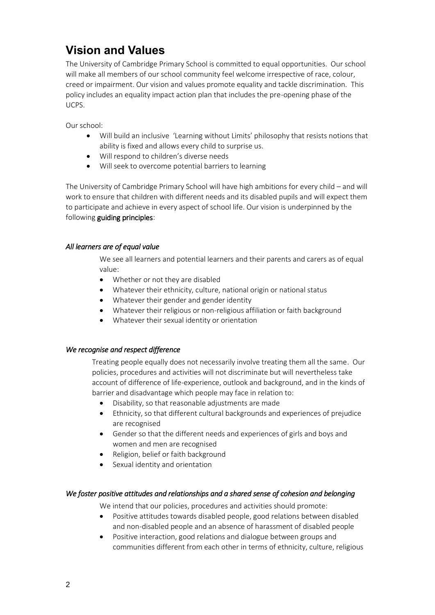# **Vision and Values**

The University of Cambridge Primary School is committed to equal opportunities. Our school will make all members of our school community feel welcome irrespective of race, colour, creed or impairment. Our vision and values promote equality and tackle discrimination. This policy includes an equality impact action plan that includes the pre-opening phase of the UCPS.

Our school:

- Will build an inclusive 'Learning without Limits' philosophy that resists notions that ability is fixed and allows every child to surprise us.
- Will respond to children's diverse needs
- Will seek to overcome potential barriers to learning

The University of Cambridge Primary School will have high ambitions for every child – and will work to ensure that children with different needs and its disabled pupils and will expect them to participate and achieve in every aspect of school life. Our vision is underpinned by the following guiding principles:

# *All learners are of equal value*

We see all learners and potential learners and their parents and carers as of equal value:

- Whether or not they are disabled
- Whatever their ethnicity, culture, national origin or national status
- Whatever their gender and gender identity
- Whatever their religious or non-religious affiliation or faith background
- Whatever their sexual identity or orientation

# *We recognise and respect difference*

Treating people equally does not necessarily involve treating them all the same. Our policies, procedures and activities will not discriminate but will nevertheless take account of difference of life-experience, outlook and background, and in the kinds of barrier and disadvantage which people may face in relation to:

- Disability, so that reasonable adjustments are made
- Ethnicity, so that different cultural backgrounds and experiences of prejudice are recognised
- Gender so that the different needs and experiences of girls and boys and women and men are recognised
- Religion, belief or faith background
- Sexual identity and orientation

# *We foster positive attitudes and relationships and a shared sense of cohesion and belonging*

We intend that our policies, procedures and activities should promote:

- Positive attitudes towards disabled people, good relations between disabled and non-disabled people and an absence of harassment of disabled people
- Positive interaction, good relations and dialogue between groups and communities different from each other in terms of ethnicity, culture, religious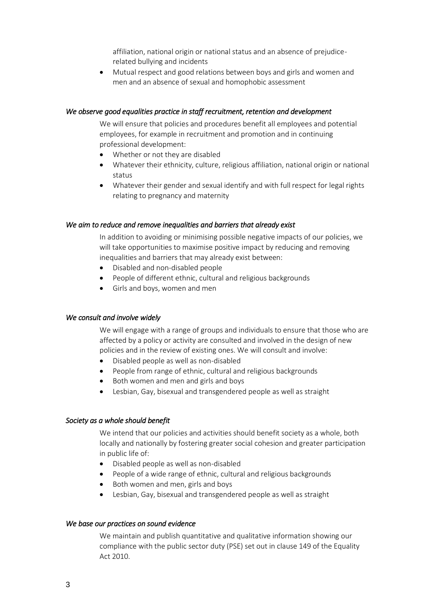affiliation, national origin or national status and an absence of prejudicerelated bullying and incidents

 Mutual respect and good relations between boys and girls and women and men and an absence of sexual and homophobic assessment

#### *We observe good equalities practice in staff recruitment, retention and development*

We will ensure that policies and procedures benefit all employees and potential employees, for example in recruitment and promotion and in continuing professional development:

- Whether or not they are disabled
- Whatever their ethnicity, culture, religious affiliation, national origin or national status
- Whatever their gender and sexual identify and with full respect for legal rights relating to pregnancy and maternity

#### *We aim to reduce and remove inequalities and barriers that already exist*

In addition to avoiding or minimising possible negative impacts of our policies, we will take opportunities to maximise positive impact by reducing and removing inequalities and barriers that may already exist between:

- Disabled and non-disabled people
- People of different ethnic, cultural and religious backgrounds
- Girls and boys, women and men

#### *We consult and involve widely*

We will engage with a range of groups and individuals to ensure that those who are affected by a policy or activity are consulted and involved in the design of new policies and in the review of existing ones. We will consult and involve:

- Disabled people as well as non-disabled
- People from range of ethnic, cultural and religious backgrounds
- Both women and men and girls and boys
- Lesbian, Gay, bisexual and transgendered people as well as straight

#### *Society as a whole should benefit*

We intend that our policies and activities should benefit society as a whole, both locally and nationally by fostering greater social cohesion and greater participation in public life of:

- Disabled people as well as non-disabled
- People of a wide range of ethnic, cultural and religious backgrounds
- Both women and men, girls and boys
- Lesbian, Gay, bisexual and transgendered people as well as straight

#### *We base our practices on sound evidence*

We maintain and publish quantitative and qualitative information showing our compliance with the public sector duty (PSE) set out in clause 149 of the Equality Act 2010.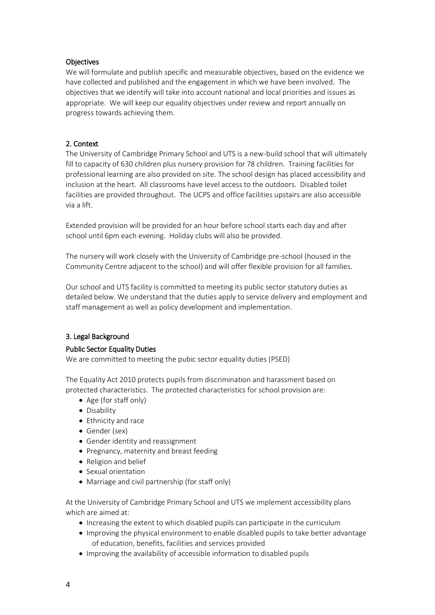# **Objectives**

We will formulate and publish specific and measurable objectives, based on the evidence we have collected and published and the engagement in which we have been involved. The objectives that we identify will take into account national and local priorities and issues as appropriate. We will keep our equality objectives under review and report annually on progress towards achieving them.

# 2. Context

The University of Cambridge Primary School and UTS is a new-build school that will ultimately fill to capacity of 630 children plus nursery provision for 78 children. Training facilities for professional learning are also provided on site. The school design has placed accessibility and inclusion at the heart. All classrooms have level access to the outdoors. Disabled toilet facilities are provided throughout. The UCPS and office facilities upstairs are also accessible via a lift.

Extended provision will be provided for an hour before school starts each day and after school until 6pm each evening. Holiday clubs will also be provided.

The nursery will work closely with the University of Cambridge pre-school (housed in the Community Centre adjacent to the school) and will offer flexible provision for all families.

Our school and UTS facility is committed to meeting its public sector statutory duties as detailed below. We understand that the duties apply to service delivery and employment and staff management as well as policy development and implementation.

# 3. Legal Background

#### Public Sector Equality Duties

We are committed to meeting the pubic sector equality duties (PSED)

The Equality Act 2010 protects pupils from discrimination and harassment based on protected characteristics. The protected characteristics for school provision are:

- Age (for staff only)
- Disability
- Ethnicity and race
- Gender (sex)
- Gender identity and reassignment
- Pregnancy, maternity and breast feeding
- Religion and belief
- Sexual orientation
- Marriage and civil partnership (for staff only)

At the University of Cambridge Primary School and UTS we implement accessibility plans which are aimed at:

- Increasing the extent to which disabled pupils can participate in the curriculum
- Improving the physical environment to enable disabled pupils to take better advantage of education, benefits, facilities and services provided
- Improving the availability of accessible information to disabled pupils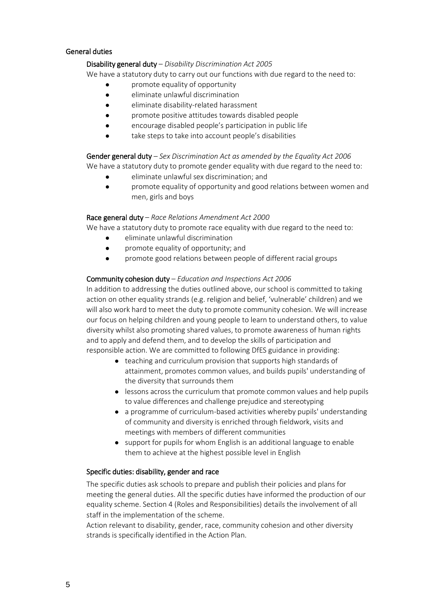# General duties

#### Disability general duty – *Disability Discrimination Act 2005*

We have a statutory duty to carry out our functions with due regard to the need to:

- promote equality of opportunity
- eliminate unlawful discrimination
- eliminate disability-related harassment
- promote positive attitudes towards disabled people
- encourage disabled people's participation in public life
- take steps to take into account people's disabilities

# Gender general duty – *Sex Discrimination Act as amended by the Equality Act 2006* We have a statutory duty to promote gender equality with due regard to the need to:

- eliminate unlawful sex discrimination; and
- promote equality of opportunity and good relations between women and men, girls and boys

# Race general duty – *Race Relations Amendment Act 2000*

We have a statutory duty to promote race equality with due regard to the need to:

- eliminate unlawful discrimination
- promote equality of opportunity; and
- promote good relations between people of different racial groups

# Community cohesion duty – *Education and Inspections Act 2006*

In addition to addressing the duties outlined above, our school is committed to taking action on other equality strands (e.g. religion and belief, 'vulnerable' children) and we will also work hard to meet the duty to promote community cohesion. We will increase our focus on helping children and young people to learn to understand others, to value diversity whilst also promoting shared values, to promote awareness of human rights and to apply and defend them, and to develop the skills of participation and responsible action. We are committed to following DfES guidance in providing:

- teaching and curriculum provision that supports high standards of attainment, promotes common values, and builds pupils' understanding of the diversity that surrounds them
- lessons across the curriculum that promote common values and help pupils to value differences and challenge prejudice and stereotyping
- a programme of curriculum-based activities whereby pupils' understanding of community and diversity is enriched through fieldwork, visits and meetings with members of different communities
- support for pupils for whom English is an additional language to enable them to achieve at the highest possible level in English

# Specific duties: disability, gender and race

The specific duties ask schools to prepare and publish their policies and plans for meeting the general duties. All the specific duties have informed the production of our equality scheme. Section 4 (Roles and Responsibilities) details the involvement of all staff in the implementation of the scheme.

Action relevant to disability, gender, race, community cohesion and other diversity strands is specifically identified in the Action Plan.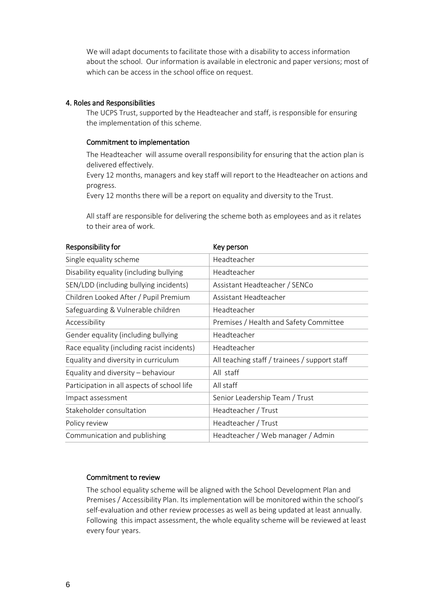We will adapt documents to facilitate those with a disability to access information about the school. Our information is available in electronic and paper versions; most of which can be access in the school office on request.

#### 4. Roles and Responsibilities

The UCPS Trust, supported by the Headteacher and staff, is responsible for ensuring the implementation of this scheme.

#### Commitment to implementation

The Headteacher will assume overall responsibility for ensuring that the action plan is delivered effectively.

Every 12 months, managers and key staff will report to the Headteacher on actions and progress.

Every 12 months there will be a report on equality and diversity to the Trust.

All staff are responsible for delivering the scheme both as employees and as it relates to their area of work.

| Responsibility for                          | Key person                                    |
|---------------------------------------------|-----------------------------------------------|
| Single equality scheme                      | Headteacher                                   |
| Disability equality (including bullying     | Headteacher                                   |
| SEN/LDD (including bullying incidents)      | Assistant Headteacher / SENCo                 |
| Children Looked After / Pupil Premium       | Assistant Headteacher                         |
| Safeguarding & Vulnerable children          | Headteacher                                   |
| Accessibility                               | Premises / Health and Safety Committee        |
| Gender equality (including bullying         | Headteacher                                   |
| Race equality (including racist incidents)  | Headteacher                                   |
| Equality and diversity in curriculum        | All teaching staff / trainees / support staff |
| Equality and diversity - behaviour          | All staff                                     |
| Participation in all aspects of school life | All staff                                     |
| Impact assessment                           | Senior Leadership Team / Trust                |
| Stakeholder consultation                    | Headteacher / Trust                           |
| Policy review                               | Headteacher / Trust                           |
| Communication and publishing                | Headteacher / Web manager / Admin             |

#### Commitment to review

The school equality scheme will be aligned with the School Development Plan and Premises / Accessibility Plan. Its implementation will be monitored within the school's self-evaluation and other review processes as well as being updated at least annually. Following this impact assessment, the whole equality scheme will be reviewed at least every four years.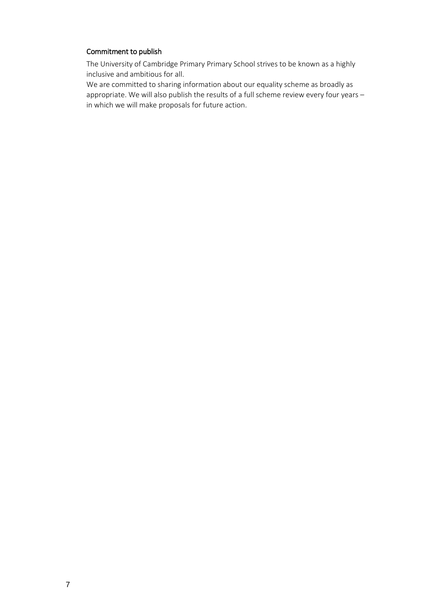#### Commitment to publish

The University of Cambridge Primary Primary School strives to be known as a highly inclusive and ambitious for all.

We are committed to sharing information about our equality scheme as broadly as appropriate. We will also publish the results of a full scheme review every four years – in which we will make proposals for future action.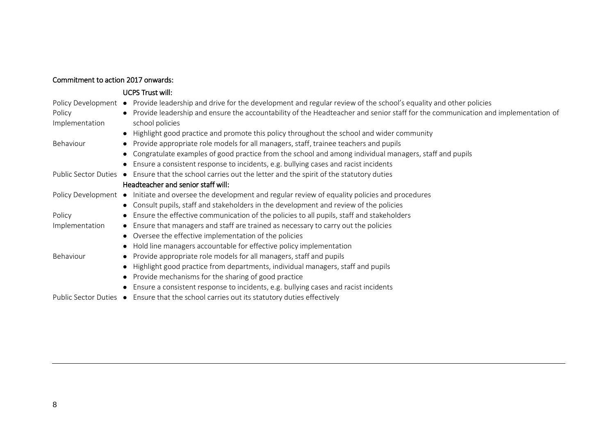| Commitment to action 2017 onwards: |                                                                                                                                                                                                                                                                            |
|------------------------------------|----------------------------------------------------------------------------------------------------------------------------------------------------------------------------------------------------------------------------------------------------------------------------|
|                                    | <b>UCPS Trust will:</b>                                                                                                                                                                                                                                                    |
| Policy                             | Policy Development • Provide leadership and drive for the development and regular review of the school's equality and other policies<br>• Provide leadership and ensure the accountability of the Headteacher and senior staff for the communication and implementation of |
| Implementation                     | school policies                                                                                                                                                                                                                                                            |
|                                    | Highlight good practice and promote this policy throughout the school and wider community<br>$\bullet$                                                                                                                                                                     |
| Behaviour                          | Provide appropriate role models for all managers, staff, trainee teachers and pupils                                                                                                                                                                                       |
|                                    | Congratulate examples of good practice from the school and among individual managers, staff and pupils                                                                                                                                                                     |
|                                    | Ensure a consistent response to incidents, e.g. bullying cases and racist incidents                                                                                                                                                                                        |
|                                    | Public Sector Duties ● Ensure that the school carries out the letter and the spirit of the statutory duties                                                                                                                                                                |
|                                    | Headteacher and senior staff will:                                                                                                                                                                                                                                         |
|                                    | Policy Development • Initiate and oversee the development and regular review of equality policies and procedures                                                                                                                                                           |
|                                    | • Consult pupils, staff and stakeholders in the development and review of the policies                                                                                                                                                                                     |
| Policy                             | • Ensure the effective communication of the policies to all pupils, staff and stakeholders                                                                                                                                                                                 |
| Implementation                     | • Ensure that managers and staff are trained as necessary to carry out the policies                                                                                                                                                                                        |
|                                    | Oversee the effective implementation of the policies<br>$\bullet$                                                                                                                                                                                                          |
|                                    | Hold line managers accountable for effective policy implementation                                                                                                                                                                                                         |
| Behaviour                          | Provide appropriate role models for all managers, staff and pupils<br>$\bullet$                                                                                                                                                                                            |
|                                    | Highlight good practice from departments, individual managers, staff and pupils<br>$\bullet$                                                                                                                                                                               |
|                                    | Provide mechanisms for the sharing of good practice                                                                                                                                                                                                                        |
|                                    | Ensure a consistent response to incidents, e.g. bullying cases and racist incidents                                                                                                                                                                                        |
|                                    | at a state of the state of the state of the state of the state of the state of the state of the state of the s                                                                                                                                                             |

Public Sector Duties ● Ensure that the school carries out its statutory duties effectively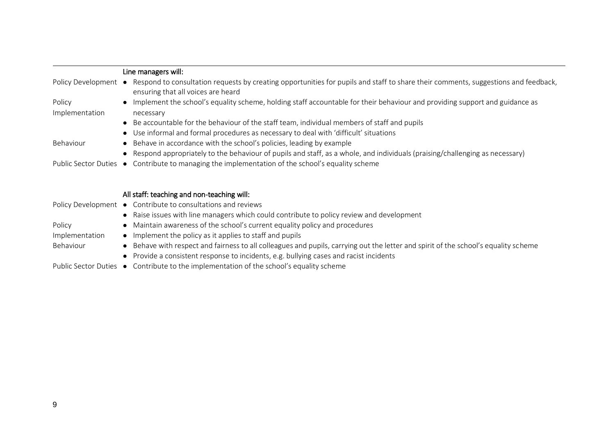|                        | Line managers will:                                                                                                                                                      |
|------------------------|--------------------------------------------------------------------------------------------------------------------------------------------------------------------------|
| Policy Development ●   | Respond to consultation requests by creating opportunities for pupils and staff to share their comments, suggestions and feedback,<br>ensuring that all voices are heard |
| Policy                 | • Implement the school's equality scheme, holding staff accountable for their behaviour and providing support and guidance as                                            |
| Implementation         | necessary                                                                                                                                                                |
|                        | • Be accountable for the behaviour of the staff team, individual members of staff and pupils                                                                             |
|                        | • Use informal and formal procedures as necessary to deal with 'difficult' situations                                                                                    |
| Behaviour              | • Behave in accordance with the school's policies, leading by example                                                                                                    |
|                        | • Respond appropriately to the behaviour of pupils and staff, as a whole, and individuals (praising/challenging as necessary)                                            |
| Public Sector Duties ● | Contribute to managing the implementation of the school's equality scheme                                                                                                |

All staff: teaching and non-teaching will:

|                | Policy Development ● Contribute to consultations and reviews                                                                        |
|----------------|-------------------------------------------------------------------------------------------------------------------------------------|
|                | • Raise issues with line managers which could contribute to policy review and development                                           |
| Policy         | • Maintain awareness of the school's current equality policy and procedures                                                         |
| Implementation | • Implement the policy as it applies to staff and pupils                                                                            |
| Behaviour      | • Behave with respect and fairness to all colleagues and pupils, carrying out the letter and spirit of the school's equality scheme |
|                | • Provide a consistent response to incidents, e.g. bullying cases and racist incidents                                              |
|                | Public Sector Duties ● Contribute to the implementation of the school's equality scheme                                             |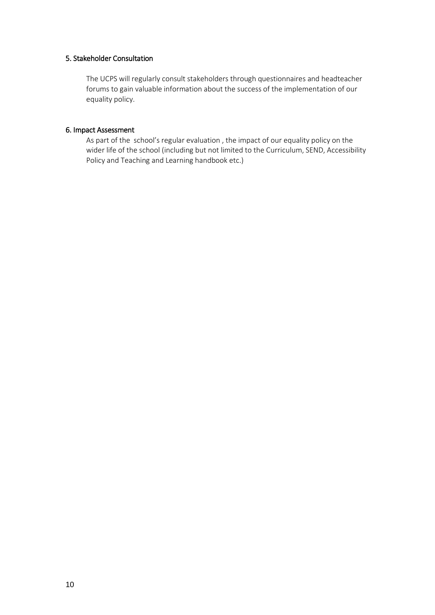# 5. Stakeholder Consultation

The UCPS will regularly consult stakeholders through questionnaires and headteacher forums to gain valuable information about the success of the implementation of our equality policy.

#### 6. Impact Assessment

As part of the school's regular evaluation , the impact of our equality policy on the wider life of the school (including but not limited to the Curriculum, SEND, Accessibility Policy and Teaching and Learning handbook etc.)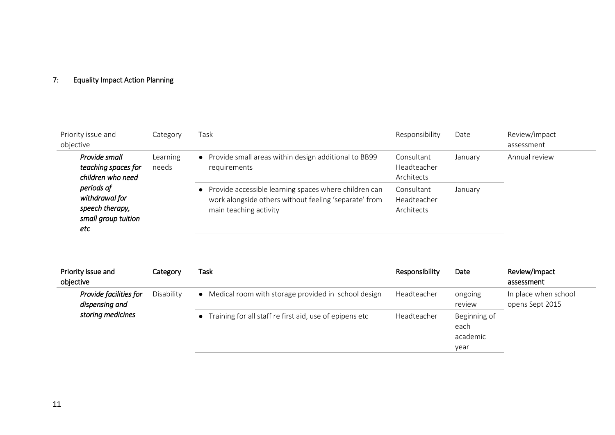# 7: Equality Impact Action Planning

| Priority issue and<br>objective                                               | Category          | Task                                                                                                                                       | Responsibility                          | Date    | Review/impact<br>assessment |
|-------------------------------------------------------------------------------|-------------------|--------------------------------------------------------------------------------------------------------------------------------------------|-----------------------------------------|---------|-----------------------------|
| Provide small<br>teaching spaces for<br>children who need                     | Learning<br>needs | • Provide small areas within design additional to BB99<br>requirements                                                                     | Consultant<br>Headteacher<br>Architects | January | Annual review               |
| periods of<br>withdrawal for<br>speech therapy,<br>small group tuition<br>etc |                   | • Provide accessible learning spaces where children can<br>work alongside others without feeling 'separate' from<br>main teaching activity | Consultant<br>Headteacher<br>Architects | January |                             |

| Priority issue and<br>objective          | Category   | Task                                                      | Responsibility | Date                             | Review/impact<br>assessment             |
|------------------------------------------|------------|-----------------------------------------------------------|----------------|----------------------------------|-----------------------------------------|
| Provide facilities for<br>dispensing and | Disability | • Medical room with storage provided in school design     | Headteacher    | ongoing<br>review                | In place when school<br>opens Sept 2015 |
| storing medicines                        |            | • Training for all staff re first aid, use of epipens etc | Headteacher    | Beginning of<br>each<br>academic |                                         |
|                                          |            |                                                           |                | year                             |                                         |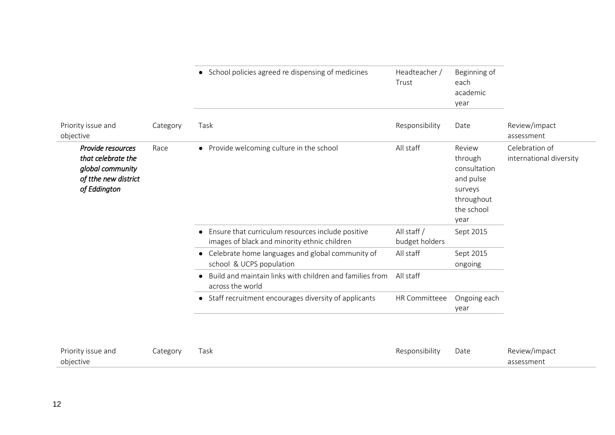|                                                                                                     |          | • School policies agreed re dispensing of medicines                                                            | Headteacher /<br>Trust        | Beginning of<br>each<br>academic<br>year                                                      |                                           |
|-----------------------------------------------------------------------------------------------------|----------|----------------------------------------------------------------------------------------------------------------|-------------------------------|-----------------------------------------------------------------------------------------------|-------------------------------------------|
| Priority issue and<br>objective                                                                     | Category | Task                                                                                                           | Responsibility                | Date                                                                                          | Review/impact<br>assessment               |
| Provide resources<br>that celebrate the<br>global community<br>of tthe new district<br>of Eddington | Race     | • Provide welcoming culture in the school                                                                      | All staff                     | Review<br>through<br>consultation<br>and pulse<br>surveys<br>throughout<br>the school<br>year | Celebration of<br>international diversity |
|                                                                                                     |          | Ensure that curriculum resources include positive<br>$\bullet$<br>images of black and minority ethnic children | All staff /<br>budget holders | Sept 2015                                                                                     |                                           |
|                                                                                                     |          | Celebrate home languages and global community of<br>$\bullet$<br>school & UCPS population                      | All staff                     | Sept 2015<br>ongoing                                                                          |                                           |
|                                                                                                     |          | Build and maintain links with children and families from<br>$\bullet$<br>across the world                      | All staff                     |                                                                                               |                                           |
|                                                                                                     |          | • Staff recruitment encourages diversity of applicants                                                         | HR Committeee                 | Ongoing each<br>year                                                                          |                                           |
|                                                                                                     |          |                                                                                                                |                               |                                                                                               |                                           |
| Priority issue and                                                                                  | Category | Task                                                                                                           | Responsibility                | Date                                                                                          | Review/impact                             |

objective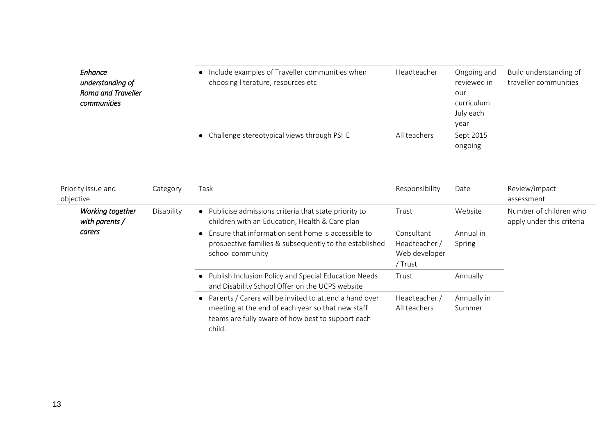| Enhance<br>understanding of<br><b>Roma and Traveller</b><br>communities | • Include examples of Traveller communities when<br>choosing literature, resources etc | Headteacher  | Ongoing and<br>reviewed in<br>our<br>curriculum<br>July each<br>year | Build understanding of<br>traveller communities |
|-------------------------------------------------------------------------|----------------------------------------------------------------------------------------|--------------|----------------------------------------------------------------------|-------------------------------------------------|
|                                                                         | • Challenge stereotypical views through PSHE                                           | All teachers | Sept 2015<br>ongoing                                                 |                                                 |

| Priority issue and<br>objective    | Category                                                                                                                                                                     | Task                                                                                                                             | Responsibility                                          | Date                | Review/impact<br>assessment                         |
|------------------------------------|------------------------------------------------------------------------------------------------------------------------------------------------------------------------------|----------------------------------------------------------------------------------------------------------------------------------|---------------------------------------------------------|---------------------|-----------------------------------------------------|
| Working together<br>with parents / | Disability                                                                                                                                                                   | • Publicise admissions criteria that state priority to<br>children with an Education, Health & Care plan                         | Trust                                                   | Website             | Number of children who<br>apply under this criteria |
| carers                             |                                                                                                                                                                              | Ensure that information sent home is accessible to<br>prospective families & subsequently to the established<br>school community | Consultant<br>Headteacher /<br>Web developer<br>/ Trust | Annual in<br>Spring |                                                     |
|                                    |                                                                                                                                                                              | • Publish Inclusion Policy and Special Education Needs<br>and Disability School Offer on the UCPS website                        | Trust                                                   | Annually            |                                                     |
|                                    | • Parents / Carers will be invited to attend a hand over<br>meeting at the end of each year so that new staff<br>teams are fully aware of how best to support each<br>child. | Headteacher /<br>All teachers                                                                                                    | Annually in<br>Summer                                   |                     |                                                     |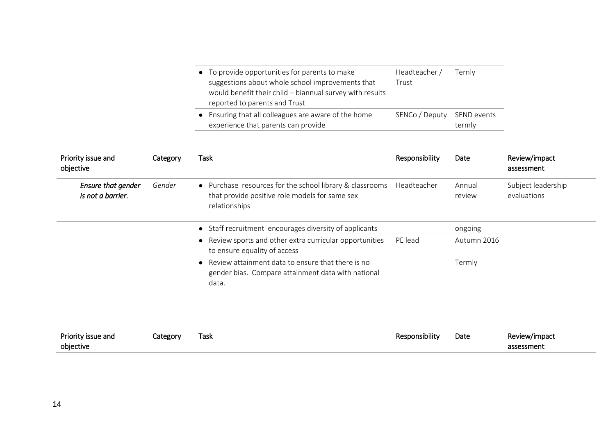| • To provide opportunities for parents to make           | Headteacher /              | Ternly |
|----------------------------------------------------------|----------------------------|--------|
| suggestions about whole school improvements that         | Trust                      |        |
| would benefit their child - biannual survey with results |                            |        |
| reported to parents and Trust                            |                            |        |
| • Ensuring that all colleagues are aware of the home     | SENCo / Deputy SEND events |        |
| experience that parents can provide                      |                            | termly |

| Priority issue and<br>objective         | Category | Task                                                                                                                        | Responsibility | Date             | Review/impact<br>assessment       |
|-----------------------------------------|----------|-----------------------------------------------------------------------------------------------------------------------------|----------------|------------------|-----------------------------------|
| Ensure that gender<br>is not a barrier. | Gender   | • Purchase resources for the school library & classrooms<br>that provide positive role models for same sex<br>relationships | Headteacher    | Annual<br>review | Subject leadership<br>evaluations |
|                                         |          | • Staff recruitment encourages diversity of applicants                                                                      |                | ongoing          |                                   |
|                                         |          | Review sports and other extra curricular opportunities<br>to ensure equality of access                                      | PE lead        | Autumn 2016      |                                   |
|                                         |          | Review attainment data to ensure that there is no<br>gender bias. Compare attainment data with national<br>data.            |                | Termly           |                                   |
| Priority issue and<br>objective         | Category | Task                                                                                                                        | Responsibility | Date             | Review/impact<br>assessment       |